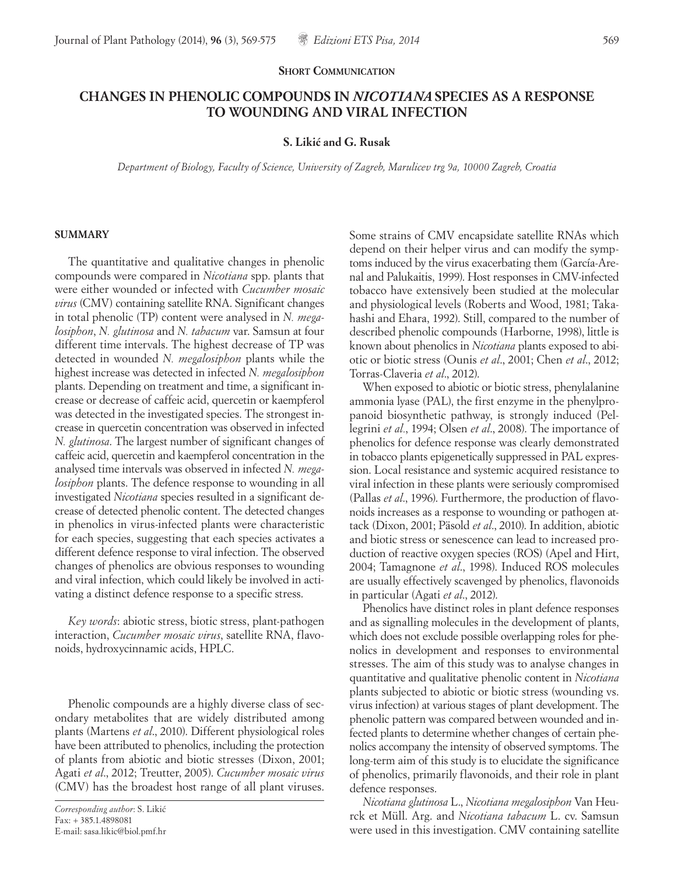## **SHORT COMMUNICATION**

# **CHANGES IN PHENOLIC COMPOUNDS IN** *NICOTIANA* **SPECIES AS A RESPONSE TO WOUNDING AND VIRAL INFECTION**

#### **S. Likic´ and G. Rusak**

*Department of Biology, Faculty of Science, University of Zagreb, Marulicev trg 9a, 10000 Zagreb, Croatia*

## **SUMMARY**

The quantitative and qualitative changes in phenolic compounds were compared in *Nicotiana* spp. plants that were either wounded or infected with *Cucumber mosaic virus* (CMV) containing satellite RNA. Significant changes in total phenolic (TP) content were analysed in *N. megalosiphon*, *N. glutinosa* and *N. tabacum* var. Samsun at four different time intervals. The highest decrease of TP was detected in wounded *N. megalosiphon* plants while the highest increase was detected in infected *N. megalosiphon* plants. Depending on treatment and time, a significant increase or decrease of caffeic acid, quercetin or kaempferol was detected in the investigated species. The strongest increase in quercetin concentration was observed in infected *N. glutinosa*. The largest number of significant changes of caffeic acid, quercetin and kaempferol concentration in the analysed time intervals was observed in infected *N. megalosiphon* plants. The defence response to wounding in all investigated *Nicotiana* species resulted in a significant decrease of detected phenolic content. The detected changes in phenolics in virus-infected plants were characteristic for each species, suggesting that each species activates a different defence response to viral infection. The observed changes of phenolics are obvious responses to wounding and viral infection, which could likely be involved in activating a distinct defence response to a specific stress.

*Key words*: abiotic stress, biotic stress, plant-pathogen interaction, *Cucumber mosaic virus*, satellite RNA, flavonoids, hydroxycinnamic acids, HPLC.

Phenolic compounds are a highly diverse class of secondary metabolites that are widely distributed among plants (Martens *et al*., 2010). Different physiological roles have been attributed to phenolics, including the protection of plants from abiotic and biotic stresses (Dixon, 2001; Agati *et al*., 2012; Treutter, 2005). *Cucumber mosaic virus* (CMV) has the broadest host range of all plant viruses.

Some strains of CMV encapsidate satellite RNAs which depend on their helper virus and can modify the symptoms induced by the virus exacerbating them (García-Arenal and Palukaitis, 1999). Host responses in CMV-infected tobacco have extensively been studied at the molecular and physiological levels (Roberts and Wood, 1981; Takahashi and Ehara, 1992). Still, compared to the number of described phenolic compounds (Harborne, 1998), little is known about phenolics in *Nicotiana* plants exposed to abiotic or biotic stress (Ounis *et al*., 2001; Chen *et al*., 2012; Torras-Claveria *et al*., 2012).

When exposed to abiotic or biotic stress, phenylalanine ammonia lyase (PAL), the first enzyme in the phenylpropanoid biosynthetic pathway, is strongly induced (Pellegrini *et al.*, 1994; Olsen *et al*., 2008). The importance of phenolics for defence response was clearly demonstrated in tobacco plants epigenetically suppressed in PAL expression. Local resistance and systemic acquired resistance to viral infection in these plants were seriously compromised (Pallas *et al*., 1996). Furthermore, the production of flavonoids increases as a response to wounding or pathogen attack (Dixon, 2001; Päsold *et al*., 2010). In addition, abiotic and biotic stress or senescence can lead to increased production of reactive oxygen species (ROS) (Apel and Hirt, 2004; Tamagnone *et al*., 1998). Induced ROS molecules are usually effectively scavenged by phenolics, flavonoids in particular (Agati *et al*., 2012).

Phenolics have distinct roles in plant defence responses and as signalling molecules in the development of plants, which does not exclude possible overlapping roles for phenolics in development and responses to environmental stresses. The aim of this study was to analyse changes in quantitative and qualitative phenolic content in *Nicotiana* plants subjected to abiotic or biotic stress (wounding vs. virus infection) at various stages of plant development. The phenolic pattern was compared between wounded and infected plants to determine whether changes of certain phenolics accompany the intensity of observed symptoms. The long-term aim of this study is to elucidate the significance of phenolics, primarily flavonoids, and their role in plant defence responses.

*Nicotiana glutinosa* L., *Nicotiana megalosiphon* Van Heurck et Müll. Arg. and *Nicotiana tabacum* L. cv. Samsun were used in this investigation. CMV containing satellite

*Corresponding author*: S. Likic´ Fax: + 385.1.4898081 E-mail: sasa.likic@biol.pmf.hr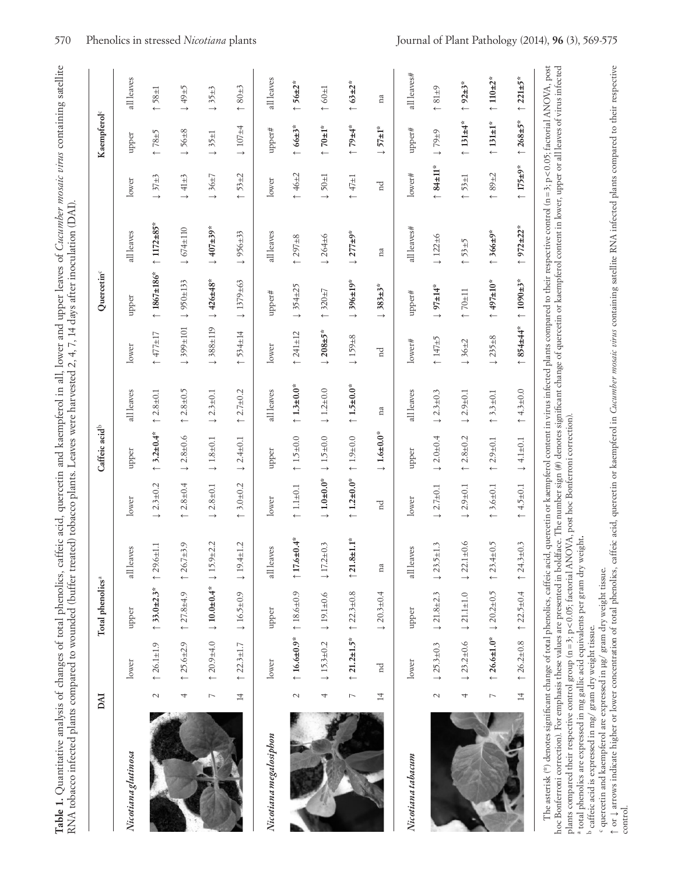| )                                                                   |                                                                                                                           |
|---------------------------------------------------------------------|---------------------------------------------------------------------------------------------------------------------------|
| こと こうちゅうしゃ                                                          |                                                                                                                           |
|                                                                     |                                                                                                                           |
|                                                                     |                                                                                                                           |
|                                                                     |                                                                                                                           |
|                                                                     |                                                                                                                           |
|                                                                     |                                                                                                                           |
|                                                                     |                                                                                                                           |
|                                                                     |                                                                                                                           |
|                                                                     |                                                                                                                           |
|                                                                     | ֧֧֧֧֧֧֧֛֪֧֧֧֛֪֛֪֛֪֧֧֧֛֧֛֚֡֝֝֬֝֝֬֝֬֝֬֝֬֝֓֝֬֝֬֝֬֝֬֝֬֝֬֝֬֝֬֝֬֝֬֝֬֝֬֝֬֝֬֝֬֝֬֝֬֝֬֝֬֝֬<br>֧֪֛֛֛֛֪֛֪֛֪֪֪֖֧֖֚֚֚֝֝֝֝֝֝֩֩֩֟֩֩<br>Í. |
|                                                                     |                                                                                                                           |
|                                                                     |                                                                                                                           |
| ١                                                                   |                                                                                                                           |
| וויש ביש פינו של השתמש המונה ביותר                                  |                                                                                                                           |
| C BRITCH HOULD LI                                                   |                                                                                                                           |
|                                                                     |                                                                                                                           |
|                                                                     |                                                                                                                           |
|                                                                     |                                                                                                                           |
| ł                                                                   |                                                                                                                           |
|                                                                     |                                                                                                                           |
|                                                                     | i<br>I                                                                                                                    |
|                                                                     |                                                                                                                           |
|                                                                     | İ                                                                                                                         |
|                                                                     | こうしょう                                                                                                                     |
|                                                                     |                                                                                                                           |
|                                                                     | ・・・・・・・・・・<br>)<br>}<br>}                                                                                                 |
|                                                                     |                                                                                                                           |
|                                                                     |                                                                                                                           |
|                                                                     |                                                                                                                           |
|                                                                     |                                                                                                                           |
|                                                                     |                                                                                                                           |
|                                                                     |                                                                                                                           |
| $-20000+140$                                                        | $\sim 10477$<br>I                                                                                                         |
|                                                                     |                                                                                                                           |
| )<br>5<br>5                                                         |                                                                                                                           |
|                                                                     |                                                                                                                           |
| ת הור מרור                                                          |                                                                                                                           |
|                                                                     |                                                                                                                           |
|                                                                     |                                                                                                                           |
| <b>CHATH</b>                                                        | てくもく<br>į                                                                                                                 |
| j                                                                   |                                                                                                                           |
| $\ddot{\phantom{a}}$                                                | )<br>}                                                                                                                    |
| $\frac{1}{2}$                                                       | š                                                                                                                         |
|                                                                     |                                                                                                                           |
|                                                                     |                                                                                                                           |
| $+0$ nonon                                                          | )<br>}<br>!                                                                                                               |
|                                                                     |                                                                                                                           |
| tive to address to a crazing.                                       |                                                                                                                           |
|                                                                     |                                                                                                                           |
|                                                                     | )<br>}<br>}<br>ו<br>ו                                                                                                     |
|                                                                     |                                                                                                                           |
|                                                                     |                                                                                                                           |
|                                                                     | ぶんしょう こうしょう こうしょう こうしゅう こうしょう こうこう<br>$\frac{1}{2}$                                                                       |
|                                                                     |                                                                                                                           |
| į                                                                   |                                                                                                                           |
|                                                                     |                                                                                                                           |
| $-100$ $-0.1$ $-100$                                                |                                                                                                                           |
|                                                                     |                                                                                                                           |
|                                                                     |                                                                                                                           |
|                                                                     |                                                                                                                           |
|                                                                     |                                                                                                                           |
| $\overline{\mathcal{L}}$<br>I                                       |                                                                                                                           |
| ׇ֧֧֧֧֧֧֧֧֧֧֧֧֧֧֚֚֚֚֚֚֚֚֚֚֚֚֚֚֚֚֚֚֚֚֚֚֚֚֚֡֝֓֝֬֝֓֝֓֝֓֝֓֝֓֝֬֝֓֝֬֝֬֝֬֝֬ | I                                                                                                                         |
|                                                                     |                                                                                                                           |
| į<br>į                                                              | $\ddot{\phantom{0}}$                                                                                                      |

|                        | <b>DAI</b>     |                       | Total phenolics <sup>a</sup>                 |                      |                                       | Caffeic acid <sup>b</sup>      |                        |                               | Quercetin <sup>c</sup>         |                         |                            | Kaempferol <sup>c</sup>       |                          |
|------------------------|----------------|-----------------------|----------------------------------------------|----------------------|---------------------------------------|--------------------------------|------------------------|-------------------------------|--------------------------------|-------------------------|----------------------------|-------------------------------|--------------------------|
| Nicotiana glutinosa    |                | lower                 | upper                                        | S<br>all leav        | lower                                 | upper                          | all leaves             | lower                         | upper                          | all leaves              | lower                      | upper                         | all leaves               |
|                        | $\sim$         | $\uparrow$ 26.1±1.9   | ↑ 33.0±2.3*                                  | $\uparrow$ 29.6±1.1  | $\downarrow$ 2.3±0.2                  | ↑ 3.2±0.4*                     | $\uparrow$ 2.8±0.1     | $11+77+17$                    | ↑ 1867±186*                    | ↑ $1172 \pm 85$ *       | $\downarrow$ 37±3          | $5 + 87$                      | $1 + 58 + 1$             |
|                        | 4              | $\uparrow$ 25.6±2.9   | $127.8 + 4.9$                                | $\uparrow$ 26.7±3.9  | $2.8 \pm 0.4$<br>$\leftarrow$         | $2.8 + 0.6$<br>$\rightarrow$   | $12.8 \pm 0.5$         | 101∓66\$1                     | $1950 \pm 133$                 | $\downarrow$ 674±110    | $41\pm3$<br>$\rightarrow$  | $\downarrow$ 56±8             | $+49\pm5$                |
|                        | $\overline{ }$ | $120.9 + 4.0$         | $\downarrow$ 10.0±0.4* $\downarrow$ 15.9±2.2 |                      | $2.8 + 0.1$<br>$\rightarrow$          | $\downarrow$ 1.8 $\pm$ 0.1     | $\downarrow$ 2.3±0.1   | ↓388±119                      | $\downarrow$ 426±48*           | $\downarrow$ 407±39*    | $\downarrow$ 36±7          | $\downarrow$ 35±1             | $\downarrow$ 35±3        |
|                        | $\overline{4}$ | $\uparrow$ 22.3±1.7   | $16.5 \pm 0.9$                               | $19.4 \pm 1.2$       | ↑ 3.0±0.2                             | $2.4 \pm 0.1$<br>$\rightarrow$ | ↑ $2.7\pm0.2$          | $1534 \pm 14$                 | $1379 \pm 63$<br>$\rightarrow$ | 956±33<br>$\rightarrow$ | $53 + 2$<br>$\leftarrow$   | $\downarrow$ 107±4            | $80 + 3$<br>$\leftarrow$ |
| Nicotiana megalosiphon |                | lower                 | upper                                        | ξĝ<br>all leav       | lower                                 | upper                          | all leaves             | lower                         | upper#                         | all leaves              | lower                      | upper#                        | all leaves               |
|                        | $\mathcal{L}$  | $\uparrow$ 16.6±0.9*  | $18.6 \pm 0.9$                               | ↑ 17.6±0.4*          | $1.1 + 0.1$                           | ↑ $1.5 ± 0.0$                  | ↑ $1.3\pm0.0*$         | $\uparrow$ 241±12             | $1354 \pm 25$                  | ↑ 297±8                 | ↑ $46±2$                   | $166 \pm 3$ *                 | ↑ 56±2 <sup>*</sup>      |
|                        | 4              | $15.3 \pm 0.2$        | $19.1 \pm 0.6$                               | $17.2 \pm 0.3$       | $\downarrow 1.0 \pm 0.0$ <sup>*</sup> | $1.5 \pm 0.0$                  | $\downarrow$ 1.2±0.0   | $\downarrow$ 208±5*           | ↑ 320±7                        | 1264±6                  | $\downarrow$ 50 $\pm$ 1    | $*1+07$ ↑                     | $1\pm0.0$                |
|                        | $\overline{ }$ | ↑ 21.2±1.5*           | $\uparrow$ 22.3±0.8                          | $\uparrow$ 21.8±1.1* | ↑ $1.2\pm0.0*$                        | ↑ $1.9 ± 0.0$                  | ↑ $1.5±0.0*$           | $\downarrow$ 159 $\pm$ 8      | $1396 \pm 19$ *                | $1277 \pm 9$ *          | $1\pm1$                    | $*$ <b>++6.4</b>              | ↑ $63 \pm 2$ *           |
|                        | $\overline{1}$ | 'n                    | $120.3 \pm 0.4$                              | na                   | $_{\rm nd}$                           | $\downarrow$ 1.6±0.0*          | na                     | $_{\rm nd}$                   | $383 \pm 3*$                   | na                      | nd                         | $57 \pm 1$ *<br>$\rightarrow$ | na                       |
| Nicotiana tabacum      |                | lower                 | upper                                        | 89<br>all leav       | lower                                 | upper                          | all leaves             | lower#                        | upper#                         | all leaves#             | lower#                     | upper#                        | all leaves#              |
|                        | $\sim$         | $\downarrow$ 25.3±0.3 | $1.8 + 2.3$                                  | $123.5 \pm 1.3$      | $\downarrow$ 2.7 $\pm$ 0.1            | $\downarrow$ 2.0 ± 0.4         | $\downarrow$ 2.3±0.3   | $\overline{C}$ +21 $\uparrow$ | $197±14*$                      | $\downarrow$ 122±6      | $11*84$                    | $0.79 \pm 9$                  | $64+81$                  |
|                        | 4              | $123.2 \pm 0.6$       | $\downarrow$ 21.1±1.0                        | $122.1 \pm 0.6$      | $2.9 + 0.1$<br>$\rightarrow$          | $2.8 + 0.2$<br>$\leftarrow$    | $\downarrow$ 2.9 ± 0.1 | $\downarrow$ 36±2             | $11\pm0.1$                     | $\uparrow$ 53±5         | $53 \pm 1$<br>$\leftarrow$ | ↑ 131±4*                      | $192 \pm 3$ *            |
|                        |                | ↑ $26.6 \pm 1.0$ *    | $\downarrow$ 20.2±0.5                        | $\uparrow$ 23.4±0.5  | ↑ 3.6±0.1                             | $2.9 + 0.1$<br>$\leftarrow$    | ↑ 3.3±0.1              | $235 \pm 8$<br>$\rightarrow$  | $*01\pm10*$                    | $\uparrow$ 366±9*       | $89 + 2$<br>$\leftarrow$   | $\uparrow$ 131±1*             | ↑ $110±2*$               |
|                        | $\overline{4}$ | $\uparrow$ 26.2±0.8   | $\uparrow$ 22.5 $\pm$ 0.4                    | $\uparrow$ 24.3±0.3  | $4.5 \pm 0.1$<br>$\leftarrow$         | $\downarrow$ 4.1±0.1           | ↑ 4.3±0.0              | $1854 \pm 44$ *               | $1090±3*$                      | ↑ $972±22*$             | ↑ $175±9*$                 | ↑ $268±5*$                    | ↑ $221±5*$               |

plants compared their respective control group (n=3; p<0.05; factorial ANOVA, post hoc Bonferroni correction).<br><sup>a</sup> total phenolics are expressed in mg gallic acid equivalents per gram dry weight**.**<br>. *a total i* benefit is pans compared then respective control group (n = 3; p<0.05; factorial ANOVA, post hoc Bonferroni correction).<br><sup>4</sup> total phenolics are expressed in mg gallic acid equivalents per gram dry weight.<br><sup>b</sup> caffeic acid is express

caffeic acid is expressed in mg/ gram dry weight tissue.

c quercetin and kaempferol are expressed in µg/ gram dry weight tissue.

t or 1 arrows indicate higher or lower concentration of total phenolics, caffeic acid, quercetin or kaempferol in Cucumber mosaic virus containing satellite RNA infected plants compared to their respective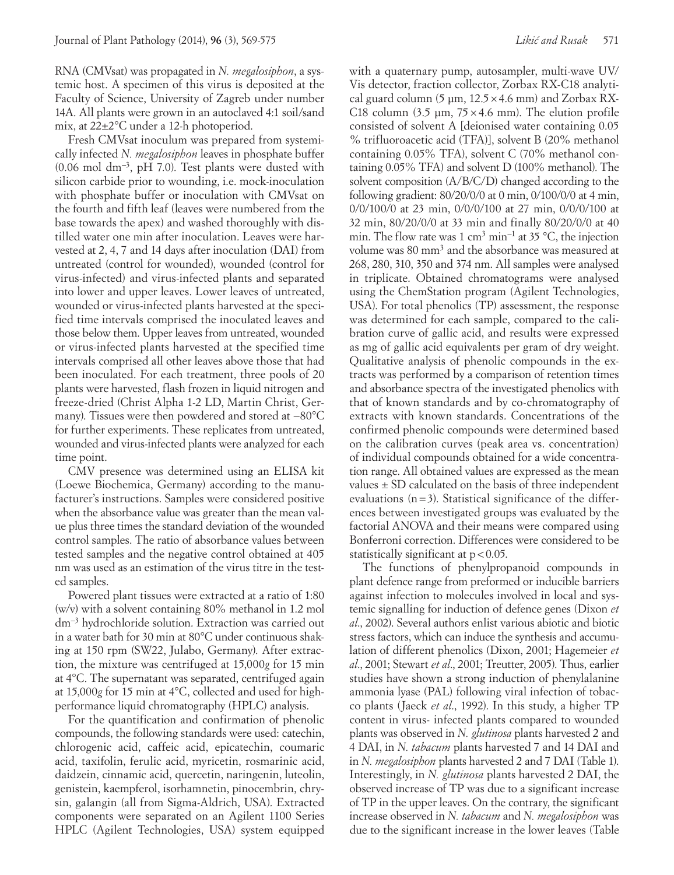RNA (CMVsat) was propagated in *N. megalosiphon*, a systemic host. A specimen of this virus is deposited at the Faculty of Science, University of Zagreb under number 14A. All plants were grown in an autoclaved 4:1 soil/sand mix, at 22±2°C under a 12-h photoperiod.

Fresh CMVsat inoculum was prepared from systemically infected *N. megalosiphon* leaves in phosphate buffer (0.06 mol dm−3, pH 7.0). Test plants were dusted with silicon carbide prior to wounding, i.e. mock-inoculation with phosphate buffer or inoculation with CMVsat on the fourth and fifth leaf (leaves were numbered from the base towards the apex) and washed thoroughly with distilled water one min after inoculation. Leaves were harvested at 2, 4, 7 and 14 days after inoculation (DAI) from untreated (control for wounded), wounded (control for virus-infected) and virus-infected plants and separated into lower and upper leaves. Lower leaves of untreated, wounded or virus-infected plants harvested at the specified time intervals comprised the inoculated leaves and those below them. Upper leaves from untreated, wounded or virus-infected plants harvested at the specified time intervals comprised all other leaves above those that had been inoculated. For each treatment, three pools of 20 plants were harvested, flash frozen in liquid nitrogen and freeze-dried (Christ Alpha 1-2 LD, Martin Christ, Germany). Tissues were then powdered and stored at −80°C for further experiments. These replicates from untreated, wounded and virus-infected plants were analyzed for each time point.

CMV presence was determined using an ELISA kit (Loewe Biochemica, Germany) according to the manufacturer's instructions. Samples were considered positive when the absorbance value was greater than the mean value plus three times the standard deviation of the wounded control samples. The ratio of absorbance values between tested samples and the negative control obtained at 405 nm was used as an estimation of the virus titre in the tested samples.

Powered plant tissues were extracted at a ratio of 1:80 (w/v) with a solvent containing 80% methanol in 1.2 mol dm−3 hydrochloride solution. Extraction was carried out in a water bath for 30 min at 80°C under continuous shaking at 150 rpm (SW22, Julabo, Germany). After extraction, the mixture was centrifuged at 15,000*g* for 15 min at 4°C. The supernatant was separated, centrifuged again at 15,000*g* for 15 min at 4°C, collected and used for highperformance liquid chromatography (HPLC) analysis.

For the quantification and confirmation of phenolic compounds, the following standards were used: catechin, chlorogenic acid, caffeic acid, epicatechin, coumaric acid, taxifolin, ferulic acid, myricetin, rosmarinic acid, daidzein, cinnamic acid, quercetin, naringenin, luteolin, genistein, kaempferol, isorhamnetin, pinocembrin, chrysin, galangin (all from Sigma-Aldrich, USA). Extracted components were separated on an Agilent 1100 Series HPLC (Agilent Technologies, USA) system equipped

with a quaternary pump, autosampler, multi-wave UV/ Vis detector, fraction collector, Zorbax RX-C18 analytical guard column (5 um,  $12.5 \times 4.6$  mm) and Zorbax RX-C18 column  $(3.5 \mu m, 75 \times 4.6 \mu m)$ . The elution profile consisted of solvent A [deionised water containing 0.05 % trifluoroacetic acid (TFA)], solvent B (20% methanol containing 0.05% TFA), solvent C (70% methanol containing 0.05% TFA) and solvent D (100% methanol). The solvent composition (A/B/C/D) changed according to the following gradient: 80/20/0/0 at 0 min, 0/100/0/0 at 4 min, 0/0/100/0 at 23 min, 0/0/0/100 at 27 min, 0/0/0/100 at 32 min, 80/20/0/0 at 33 min and finally 80/20/0/0 at 40 min. The flow rate was 1 cm<sup>3</sup> min<sup>-1</sup> at 35 °C, the injection volume was 80 mm<sup>3</sup> and the absorbance was measured at 268, 280, 310, 350 and 374 nm. All samples were analysed in triplicate. Obtained chromatograms were analysed using the ChemStation program (Agilent Technologies, USA). For total phenolics (TP) assessment, the response was determined for each sample, compared to the calibration curve of gallic acid, and results were expressed as mg of gallic acid equivalents per gram of dry weight. Qualitative analysis of phenolic compounds in the extracts was performed by a comparison of retention times and absorbance spectra of the investigated phenolics with that of known standards and by co-chromatography of extracts with known standards. Concentrations of the confirmed phenolic compounds were determined based on the calibration curves (peak area vs. concentration) of individual compounds obtained for a wide concentration range. All obtained values are expressed as the mean values  $\pm$  SD calculated on the basis of three independent evaluations  $(n=3)$ . Statistical significance of the differences between investigated groups was evaluated by the factorial ANOVA and their means were compared using Bonferroni correction. Differences were considered to be statistically significant at  $p < 0.05$ .

The functions of phenylpropanoid compounds in plant defence range from preformed or inducible barriers against infection to molecules involved in local and systemic signalling for induction of defence genes (Dixon *et al*., 2002). Several authors enlist various abiotic and biotic stress factors, which can induce the synthesis and accumulation of different phenolics (Dixon, 2001; Hagemeier *et al*., 2001; Stewart *et al*., 2001; Treutter, 2005). Thus, earlier studies have shown a strong induction of phenylalanine ammonia lyase (PAL) following viral infection of tobacco plants (Jaeck *et al*., 1992). In this study, a higher TP content in virus- infected plants compared to wounded plants was observed in *N. glutinosa* plants harvested 2 and 4 DAI, in *N. tabacum* plants harvested 7 and 14 DAI and in *N. megalosiphon* plants harvested 2 and 7 DAI (Table 1). Interestingly, in *N. glutinosa* plants harvested 2 DAI, the observed increase of TP was due to a significant increase of TP in the upper leaves. On the contrary, the significant increase observed in *N. tabacum* and *N. megalosiphon* was due to the significant increase in the lower leaves (Table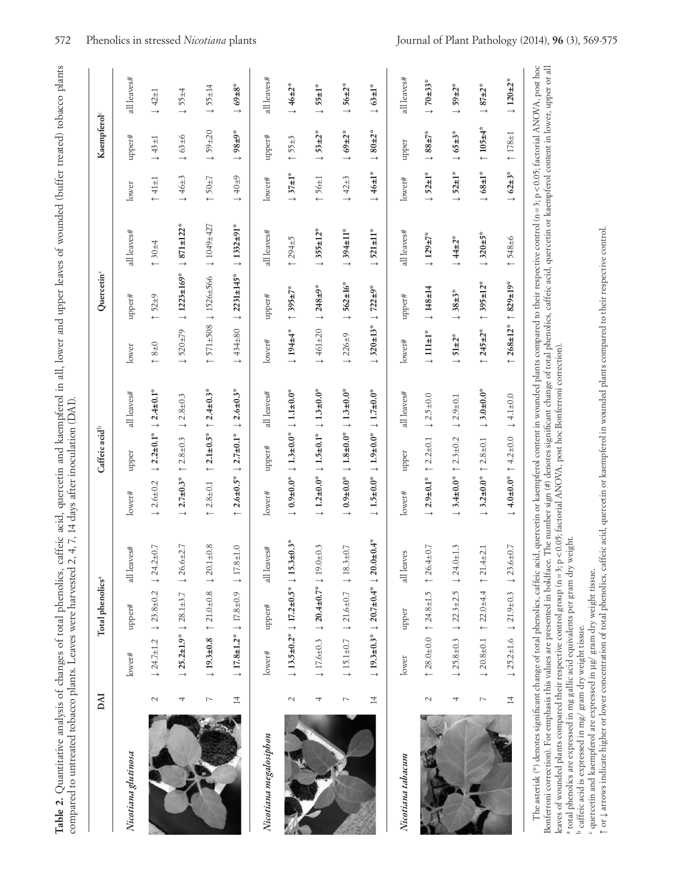| $\frac{1}{2}$                                                                                                                                                                                                                  |                                                                                                                                            |
|--------------------------------------------------------------------------------------------------------------------------------------------------------------------------------------------------------------------------------|--------------------------------------------------------------------------------------------------------------------------------------------|
| ł                                                                                                                                                                                                                              |                                                                                                                                            |
| is<br>coco                                                                                                                                                                                                                     |                                                                                                                                            |
| l                                                                                                                                                                                                                              |                                                                                                                                            |
|                                                                                                                                                                                                                                |                                                                                                                                            |
| 'Thomas and Monten and Marine and Marine and The Terms of the Marine and Marine and Marine and Marine and Marine and Marine and Marine and Marine and Marine and Marine and Marine and Marine and Marine and Marine and Marine |                                                                                                                                            |
|                                                                                                                                                                                                                                |                                                                                                                                            |
|                                                                                                                                                                                                                                |                                                                                                                                            |
|                                                                                                                                                                                                                                |                                                                                                                                            |
|                                                                                                                                                                                                                                |                                                                                                                                            |
|                                                                                                                                                                                                                                |                                                                                                                                            |
|                                                                                                                                                                                                                                |                                                                                                                                            |
|                                                                                                                                                                                                                                |                                                                                                                                            |
|                                                                                                                                                                                                                                |                                                                                                                                            |
|                                                                                                                                                                                                                                |                                                                                                                                            |
|                                                                                                                                                                                                                                |                                                                                                                                            |
|                                                                                                                                                                                                                                |                                                                                                                                            |
|                                                                                                                                                                                                                                |                                                                                                                                            |
| ֧֧֧֧֧֧֧֦֚֚֚֚֚֚֓֝֬֓֓֓֓֓֓֓֓֝֓֓֝֬֓֓֝֬֓֝֬֓֓֓ <b>֓</b>                                                                                                                                                                              |                                                                                                                                            |
|                                                                                                                                                                                                                                |                                                                                                                                            |
| cattere acid, quercetin and kaempterol in all, lower and upper leaves of wound<br>wu anu u                                                                                                                                     |                                                                                                                                            |
|                                                                                                                                                                                                                                |                                                                                                                                            |
|                                                                                                                                                                                                                                |                                                                                                                                            |
| $\cdots$ and diagonally<br>Ŧ                                                                                                                                                                                                   |                                                                                                                                            |
|                                                                                                                                                                                                                                |                                                                                                                                            |
|                                                                                                                                                                                                                                |                                                                                                                                            |
|                                                                                                                                                                                                                                | í<br>Í                                                                                                                                     |
| ı                                                                                                                                                                                                                              |                                                                                                                                            |
|                                                                                                                                                                                                                                |                                                                                                                                            |
|                                                                                                                                                                                                                                |                                                                                                                                            |
|                                                                                                                                                                                                                                |                                                                                                                                            |
|                                                                                                                                                                                                                                |                                                                                                                                            |
|                                                                                                                                                                                                                                |                                                                                                                                            |
| 1                                                                                                                                                                                                                              | こうきょう キャクチャー                                                                                                                               |
| assay dannyan a                                                                                                                                                                                                                | $\frac{1}{2}$ . The set of $\frac{1}{2}$ is the set of $\frac{1}{2}$ is $\frac{1}{2}$ is $\frac{1}{2}$ is $\frac{1}{2}$ is $\frac{1}{2}$ . |
|                                                                                                                                                                                                                                | $-12471$                                                                                                                                   |
| l                                                                                                                                                                                                                              |                                                                                                                                            |
|                                                                                                                                                                                                                                |                                                                                                                                            |
|                                                                                                                                                                                                                                |                                                                                                                                            |
|                                                                                                                                                                                                                                |                                                                                                                                            |
|                                                                                                                                                                                                                                |                                                                                                                                            |
|                                                                                                                                                                                                                                |                                                                                                                                            |
|                                                                                                                                                                                                                                | i                                                                                                                                          |
|                                                                                                                                                                                                                                |                                                                                                                                            |
|                                                                                                                                                                                                                                |                                                                                                                                            |
|                                                                                                                                                                                                                                |                                                                                                                                            |
|                                                                                                                                                                                                                                |                                                                                                                                            |
|                                                                                                                                                                                                                                |                                                                                                                                            |
|                                                                                                                                                                                                                                |                                                                                                                                            |
|                                                                                                                                                                                                                                |                                                                                                                                            |
|                                                                                                                                                                                                                                |                                                                                                                                            |
|                                                                                                                                                                                                                                | į                                                                                                                                          |
|                                                                                                                                                                                                                                |                                                                                                                                            |
|                                                                                                                                                                                                                                | .<br>.<br>.<br>.                                                                                                                           |
|                                                                                                                                                                                                                                |                                                                                                                                            |
|                                                                                                                                                                                                                                |                                                                                                                                            |
| I                                                                                                                                                                                                                              |                                                                                                                                            |
| .<br>I                                                                                                                                                                                                                         |                                                                                                                                            |
|                                                                                                                                                                                                                                |                                                                                                                                            |

|                        | DAI            | Total phenolics <sup>a</sup>                                         |                                              |                                                                                                       | Caffeic acid <sup>b</sup>                                           |                                | Quercetin <sup>c</sup>     |                      |                         | Kaempferol <sup>c</sup>              |                                |
|------------------------|----------------|----------------------------------------------------------------------|----------------------------------------------|-------------------------------------------------------------------------------------------------------|---------------------------------------------------------------------|--------------------------------|----------------------------|----------------------|-------------------------|--------------------------------------|--------------------------------|
| Nicotiana glutinosa    |                | upper#<br>lower#                                                     | all leaves#                                  | upper<br>lower#                                                                                       | all leaves#                                                         | lower                          | upper#                     | all leaves#          | lower                   | upper#                               | all leaves#                    |
|                        | $\sim$         | $\downarrow$ 23.8±0.2<br>$124.7 \pm 1.2$                             | $124.2 \pm 0.7$                              | $\downarrow$ 2.2±0.1*<br>$\downarrow$ 2.6 ± 0.2                                                       | $\downarrow$ 2.4±0.1*                                               | $0 + 8 + 0$                    | ↑ 52±9                     | ↑30±4                | $\uparrow$ 41 $\pm$ 1   | $43 \pm 1$<br>$\rightarrow$          | $\downarrow$ 42±1              |
|                        | 4              | $125.2 \pm 1.9^*$ $128.1 \pm 3.7$                                    | 2.7<br>$\downarrow$ 26.6±                    | $2.8 + 0.3$<br>$\leftarrow$<br>$\downarrow$ 2.7±0.3*                                                  | $\downarrow$ 2.8±0.3                                                | $\downarrow$ 520±79            | $1223 \pm 169$ *           | $1871 \pm 122$ *     | $\downarrow$ 46±3       | $\downarrow$ 63±6                    | $\downarrow$ 55±4              |
|                        | $\overline{ }$ | $$21.0 \pm 0.8$<br>$19.3 \pm 0.8$                                    | $120.1 \pm 0.8$                              | ↑ $2.1\pm0.5*$<br>$\uparrow$ 2.8±0.1                                                                  | ↑ $2.4\pm0.3*$                                                      | $1571 \pm 508$                 | $1526 + 566$               | 1049±427             | $\uparrow$ 50±7         | $\downarrow$ 59 $\pm$ 20             | $\downarrow$ 55 $\pm$ 14       |
|                        | $\overline{4}$ | $17.8 \pm 1.2^* \pm 1.7.8 \pm 0.9$                                   | $\downarrow$ 17.8±1.0                        | $\downarrow$ 2.7±0.1*<br>↑ $2.6 \pm 0.5$ *                                                            | $\downarrow$ 2.6±0.3*                                               | $\downarrow 434\pm80$          | $12231 \pm 145$ *          | $1332 \pm 91$ *      | $40\pm9$                | $+6+86$ $\downarrow$                 | $+84.69 + 8$                   |
| Nicotiana megalosiphon |                | upper#<br>lower#                                                     | all leaves#                                  | upper#<br>lower#                                                                                      | all leaves#                                                         | lower#                         | upper#                     | all leaves#          | lower#                  | upper#                               | all leaves#                    |
|                        | $\sim$         | $\downarrow$ 13.5±0.2* $\downarrow$ 17.2±0.5* $\downarrow$ 15.3±0.3* |                                              | $\downarrow$ 0.9±0.0 <sup>*</sup> $\downarrow$ 1.3±0.0 <sup>*</sup> $\downarrow$ 1.1±0.0 <sup>*</sup> |                                                                     | ↓ 194±4*                       | ↑ 395±7*                   | $294 + 5$            | $\downarrow$ 37±1*      | $\uparrow$ 55±3                      | $\downarrow$ 46±2*             |
|                        | 4              | $17.6 \pm 0.3$                                                       | $\downarrow$ 20.4±0.7* $\downarrow$ 19.0±0.3 | $\downarrow$ 1.2±0.0* $\downarrow$ 1.5±0.1*                                                           | $\downarrow$ 1.3±0.0*                                               | $\downarrow$ 461±20            | $\downarrow$ 248±9*        | $1355 \pm 12$ *      | $156 \pm 1$             | $\downarrow$ 53±2 <sup>*</sup>       | $\downarrow$ 55±1*             |
|                        | $\overline{ }$ | $15.1 + 0.7$                                                         | $\downarrow$ 21.6±0.7 $\downarrow$ 18.3±0.7  | $\downarrow 0.9\pm0.0$ <sup>*</sup>                                                                   | $\downarrow$ 1.8±0.0 <sup>*</sup> $\downarrow$ 1.3±0.0 <sup>*</sup> | $\downarrow$ 226±9             | $J 562 \pm 16$ *           | $\downarrow$ 394±11* | $\downarrow$ 42±3       | $\downarrow$ 69±2 <sup>*</sup>       | $\downarrow$ 56±2 <sup>*</sup> |
|                        | $\overline{4}$ | $\downarrow$ 19.3±0.3* $\downarrow$ 20.7±0.4* $\downarrow$ 20.0±0.4* |                                              | $\downarrow 1.9 \pm 0.0$ *<br>$\downarrow$ 1.5±0.0*                                                   | $\downarrow$ 1.7 $\pm$ 0.0*                                         | $\downarrow 320 \pm 13^*$      | $\downarrow$ 722±9*        | $\downarrow$ 521±11* | $\downarrow$ 46±1*      | $\downarrow$ 80 $\pm$ 2 <sup>*</sup> | $\downarrow$ 63±1*             |
| Nicotiana tabacum      |                | upper<br>lower                                                       | all leaves                                   | upper<br>lower#                                                                                       | all leaves#                                                         | lower#                         | upper#                     | all leaves#          | lower#                  | upper                                | all leaves#                    |
|                        | $\mathbf 2$    | $\uparrow$ 28.0±0.0 $\uparrow$ 24.8±1.5                              | $126.4 \pm 0.7$                              | $\uparrow$ 2.2 $\pm$ 0.1<br>$\downarrow$ 2.9±0.1*                                                     | $\downarrow$ 2.5±0.0                                                | $\downarrow$ 111±1*            | $\downarrow$ 148±14        | $\downarrow$ 129±7*  | $\downarrow$ 52±1*      | $+588+7*$                            | $\downarrow$ 70±33*            |
|                        | 4              | $125.8 \pm 0.3$                                                      | $12.3 \pm 2.5$ $12.4.0 \pm 1.3$              | $\downarrow$ 3.4±0.0* $\uparrow$ 2.3±0.2                                                              | $1.0 + 0.1$                                                         | $\downarrow$ 51±2 <sup>*</sup> | $138+3*$                   | $\downarrow$ 44±2*   | $\downarrow$ 52±1*      | $\downarrow 65 \pm 3$ *              | $\downarrow$ 59±2 <sup>*</sup> |
|                        | $\overline{ }$ | $\downarrow$ 20.8±0.1 $\uparrow$ 22.0±4.4 $\uparrow$ 21.4±2.1        |                                              | $\downarrow$ 3.2±0.0* $\uparrow$ 2.8±0.1                                                              | $\downarrow$ 3.0±0.0*                                               | ↑ 245±2*                       | ↑ 395±12*                  | $\downarrow$ 320±5*  | $\downarrow$ 68±1*      | ↑ $105±4*$                           | $\downarrow$ 87±2 <sup>*</sup> |
|                        | $\overline{4}$ | $\downarrow$ 25.2±1.6 $\downarrow$ 21.9±0.3                          | $\downarrow$ 23.6±0.7                        | $\downarrow$ 4.0±0.0* $\uparrow$ 4.2±0.0                                                              | $\downarrow$ 4.1±0.0                                                | ↑ $268±12*$                    | $1829 \pm 19$ <sup>*</sup> | ↑ 548±6              | $\downarrow 62 \pm 3$ * | ↑ $178±1$                            | $\downarrow$ 120+2*            |

leaves of wounded plants compared their respective control group (n=3; p<0.05; factorial ANOVA, post hoc Bonferroni correction).<br>ª total phenolics are expressed in mg gallic acid equivalents per gram dry weight.

caffeic acid is expressed in mg/ gram dry weight tissue.

ے ص quercetin and kaempferol are expressed in µg/ gram dry weight tissue.

**↑** or **↓** arrows indicate higher or lower concentration of total phenolics, caffeic acid, quercetin or kaempferol in wounded plants compared to their respective control.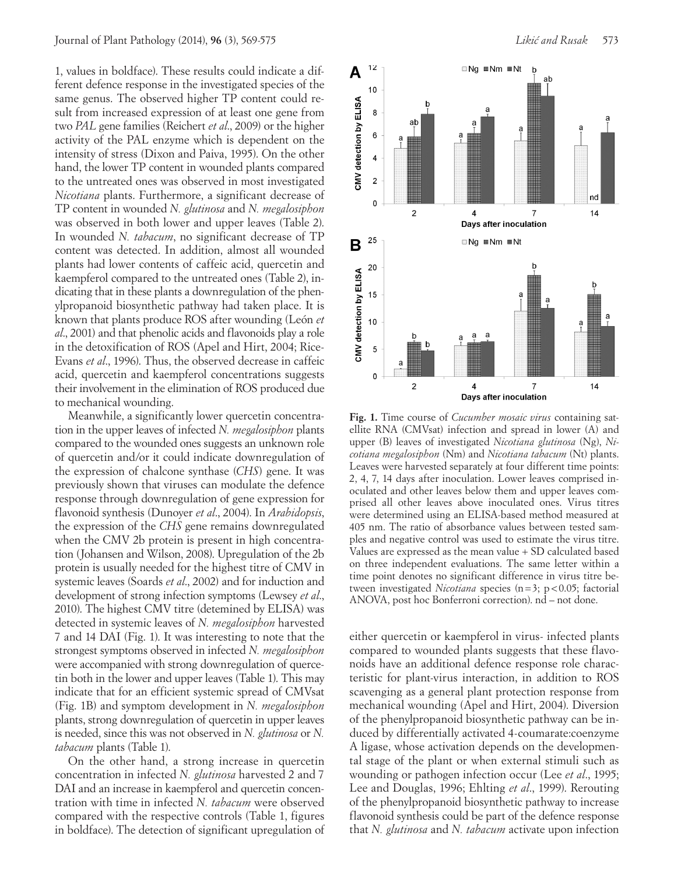1, values in boldface). These results could indicate a different defence response in the investigated species of the same genus. The observed higher TP content could result from increased expression of at least one gene from two *PAL* gene families (Reichert *et al*., 2009) or the higher activity of the PAL enzyme which is dependent on the intensity of stress (Dixon and Paiva, 1995). On the other hand, the lower TP content in wounded plants compared to the untreated ones was observed in most investigated *Nicotiana* plants. Furthermore, a significant decrease of TP content in wounded *N. glutinosa* and *N. megalosiphon* was observed in both lower and upper leaves (Table 2). In wounded *N. tabacum*, no significant decrease of TP content was detected. In addition, almost all wounded plants had lower contents of caffeic acid, quercetin and kaempferol compared to the untreated ones (Table 2), indicating that in these plants a downregulation of the phenylpropanoid biosynthetic pathway had taken place. It is known that plants produce ROS after wounding (León *et al*., 2001) and that phenolic acids and flavonoids play a role in the detoxification of ROS (Apel and Hirt, 2004; Rice-Evans *et al*., 1996). Thus, the observed decrease in caffeic acid, quercetin and kaempferol concentrations suggests their involvement in the elimination of ROS produced due to mechanical wounding.

Meanwhile, a significantly lower quercetin concentration in the upper leaves of infected *N. megalosiphon* plants compared to the wounded ones suggests an unknown role of quercetin and/or it could indicate downregulation of the expression of chalcone synthase (*CHS*) gene. It was previously shown that viruses can modulate the defence response through downregulation of gene expression for flavonoid synthesis (Dunoyer *et al*., 2004). In *Arabidopsis*, the expression of the *CHS* gene remains downregulated when the CMV 2b protein is present in high concentration (Johansen and Wilson, 2008). Upregulation of the 2b protein is usually needed for the highest titre of CMV in systemic leaves (Soards *et al*., 2002) and for induction and development of strong infection symptoms (Lewsey *et al*., 2010). The highest CMV titre (detemined by ELISA) was detected in systemic leaves of *N. megalosiphon* harvested 7 and 14 DAI (Fig. 1). It was interesting to note that the strongest symptoms observed in infected *N. megalosiphon* were accompanied with strong downregulation of quercetin both in the lower and upper leaves (Table 1). This may indicate that for an efficient systemic spread of CMVsat (Fig. 1B) and symptom development in *N. megalosiphon* plants, strong downregulation of quercetin in upper leaves is needed, since this was not observed in *N. glutinosa* or *N. tabacum* plants (Table 1).

On the other hand, a strong increase in quercetin concentration in infected *N. glutinosa* harvested 2 and 7 DAI and an increase in kaempferol and quercetin concentration with time in infected *N. tabacum* were observed compared with the respective controls (Table 1, figures in boldface). The detection of significant upregulation of



**Fig. 1.** Time course of *Cucumber mosaic virus* containing satellite RNA (CMVsat) infection and spread in lower (A) and upper (B) leaves of investigated *Nicotiana glutinosa* (Ng), *Nicotiana megalosiphon* (Nm) and *Nicotiana tabacum* (Nt) plants. Leaves were harvested separately at four different time points: 2, 4, 7, 14 days after inoculation. Lower leaves comprised inoculated and other leaves below them and upper leaves comprised all other leaves above inoculated ones. Virus titres were determined using an ELISA-based method measured at 405 nm. The ratio of absorbance values between tested samples and negative control was used to estimate the virus titre. Values are expressed as the mean value + SD calculated based on three independent evaluations. The same letter within a time point denotes no significant difference in virus titre between investigated *Nicotiana* species (n=3; p<0.05; factorial ANOVA, post hoc Bonferroni correction). nd – not done.

either quercetin or kaempferol in virus- infected plants compared to wounded plants suggests that these flavonoids have an additional defence response role characteristic for plant-virus interaction, in addition to ROS scavenging as a general plant protection response from mechanical wounding (Apel and Hirt, 2004). Diversion of the phenylpropanoid biosynthetic pathway can be induced by differentially activated 4-coumarate:coenzyme A ligase, whose activation depends on the developmental stage of the plant or when external stimuli such as wounding or pathogen infection occur (Lee *et al*., 1995; Lee and Douglas, 1996; Ehlting *et al*., 1999). Rerouting of the phenylpropanoid biosynthetic pathway to increase flavonoid synthesis could be part of the defence response that *N. glutinosa* and *N. tabacum* activate upon infection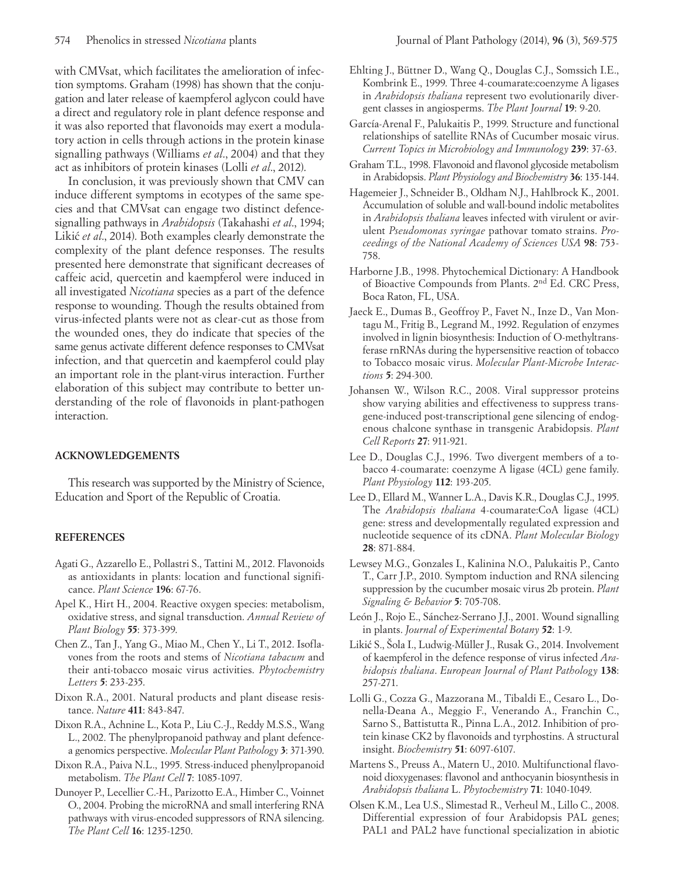with CMVsat, which facilitates the amelioration of infection symptoms. Graham (1998) has shown that the conjugation and later release of kaempferol aglycon could have a direct and regulatory role in plant defence response and it was also reported that flavonoids may exert a modulatory action in cells through actions in the protein kinase signalling pathways (Williams *et al*., 2004) and that they act as inhibitors of protein kinases (Lolli *et al*., 2012).

In conclusion, it was previously shown that CMV can induce different symptoms in ecotypes of the same species and that CMVsat can engage two distinct defencesignalling pathways in *Arabidopsis* (Takahashi *et al*., 1994; Likić *et al.*, 2014). Both examples clearly demonstrate the complexity of the plant defence responses. The results presented here demonstrate that significant decreases of caffeic acid, quercetin and kaempferol were induced in all investigated *Nicotiana* species as a part of the defence response to wounding. Though the results obtained from virus-infected plants were not as clear-cut as those from the wounded ones, they do indicate that species of the same genus activate different defence responses to CMVsat infection, and that quercetin and kaempferol could play an important role in the plant-virus interaction. Further elaboration of this subject may contribute to better understanding of the role of flavonoids in plant-pathogen interaction.

## **ACKNOWLEDGEMENTS**

This research was supported by the Ministry of Science, Education and Sport of the Republic of Croatia.

## **REFERENCES**

- Agati G., Azzarello E., Pollastri S., Tattini M., 2012. Flavonoids as antioxidants in plants: location and functional significance. *Plant Science* **196**: 67-76.
- Apel K., Hirt H., 2004. Reactive oxygen species: metabolism, oxidative stress, and signal transduction. *Annual Review of Plant Biology* **55**: 373-399.
- Chen Z., Tan J., Yang G., Miao M., Chen Y., Li T., 2012. Isoflavones from the roots and stems of *Nicotiana tabacum* and their anti-tobacco mosaic virus activities. *Phytochemistry Letters* **5**: 233-235.
- Dixon R.A., 2001. Natural products and plant disease resistance. *Nature* **411**: 843-847.
- Dixon R.A., Achnine L., Kota P., Liu C.-J., Reddy M.S.S., Wang L., 2002. The phenylpropanoid pathway and plant defencea genomics perspective. *Molecular Plant Pathology* **3**: 371-390.
- Dixon R.A., Paiva N.L., 1995. Stress-induced phenylpropanoid metabolism. *The Plant Cell* **7**: 1085-1097.
- Dunoyer P., Lecellier C.-H., Parizotto E.A., Himber C., Voinnet O., 2004. Probing the microRNA and small interfering RNA pathways with virus-encoded suppressors of RNA silencing. *The Plant Cell* **16**: 1235-1250.
- Ehlting J., Büttner D., Wang Q., Douglas C.J., Somssich I.E., Kombrink E., 1999. Three 4-coumarate:coenzyme A ligases in *Arabidopsis thaliana* represent two evolutionarily divergent classes in angiosperms. *The Plant Journal* **19**: 9-20.
- García-Arenal F., Palukaitis P., 1999. Structure and functional relationships of satellite RNAs of Cucumber mosaic virus. *Current Topics in Microbiology and Immunology* **239**: 37-63.
- Graham T.L., 1998. Flavonoid and flavonol glycoside metabolism in Arabidopsis. *Plant Physiology and Biochemistry* **36**: 135-144.
- Hagemeier J., Schneider B., Oldham N.J., Hahlbrock K., 2001. Accumulation of soluble and wall-bound indolic metabolites in *Arabidopsis thaliana* leaves infected with virulent or avirulent *Pseudomonas syringae* pathovar tomato strains. *Proceedings of the National Academy of Sciences USA* **98**: 753- 758.
- Harborne J.B., 1998. Phytochemical Dictionary: A Handbook of Bioactive Compounds from Plants. 2nd Ed. CRC Press, Boca Raton, FL, USA.
- Jaeck E., Dumas B., Geoffroy P., Favet N., Inze D., Van Montagu M., Fritig B., Legrand M., 1992. Regulation of enzymes involved in lignin biosynthesis: Induction of O-methyltransferase rnRNAs during the hypersensitive reaction of tobacco to Tobacco mosaic virus. *Molecular Plant-Microbe Interactions* **5**: 294-300.
- Johansen W., Wilson R.C., 2008. Viral suppressor proteins show varying abilities and effectiveness to suppress transgene-induced post-transcriptional gene silencing of endogenous chalcone synthase in transgenic Arabidopsis. *Plant Cell Reports* **27**: 911-921.
- Lee D., Douglas C.J., 1996. Two divergent members of a tobacco 4-coumarate: coenzyme A ligase (4CL) gene family. *Plant Physiology* **112**: 193-205.
- Lee D., Ellard M., Wanner L.A., Davis K.R., Douglas C.J., 1995. The *Arabidopsis thaliana* 4-coumarate:CoA ligase (4CL) gene: stress and developmentally regulated expression and nucleotide sequence of its cDNA. *Plant Molecular Biology* **28**: 871-884.
- Lewsey M.G., Gonzales I., Kalinina N.O., Palukaitis P., Canto T., Carr J.P., 2010. Symptom induction and RNA silencing suppression by the cucumber mosaic virus 2b protein. *Plant Signaling & Behavior* **5**: 705-708.
- León J., Rojo E., Sánchez-Serrano J.J., 2001. Wound signalling in plants. *Journal of Experimental Botany* **52**: 1-9.
- Likić S., Šola I., Ludwig-Müller J., Rusak G., 2014. Involvement of kaempferol in the defence response of virus infected *Arabidopsis thaliana*. *European Journal of Plant Pathology* **138**: 257-271.
- Lolli G., Cozza G., Mazzorana M., Tibaldi E., Cesaro L., Donella-Deana A., Meggio F., Venerando A., Franchin C., Sarno S., Battistutta R., Pinna L.A., 2012. Inhibition of protein kinase CK2 by flavonoids and tyrphostins. A structural insight. *Biochemistry* **51**: 6097-6107.
- Martens S., Preuss A., Matern U., 2010. Multifunctional flavonoid dioxygenases: flavonol and anthocyanin biosynthesis in *Arabidopsis thaliana* L. *Phytochemistry* **71**: 1040-1049.
- Olsen K.M., Lea U.S., Slimestad R., Verheul M., Lillo C., 2008. Differential expression of four Arabidopsis PAL genes; PAL1 and PAL2 have functional specialization in abiotic